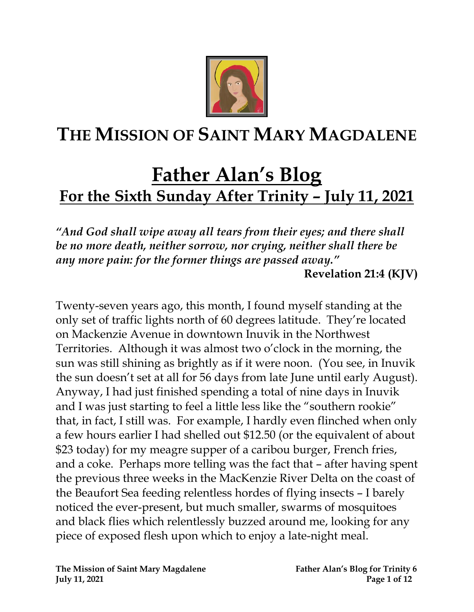

## **THE MISSION OF SAINT MARY MAGDALENE**

# **Father Alan's Blog For the Sixth Sunday After Trinity – July 11, 2021**

*"And God shall wipe away all tears from their eyes; and there shall be no more death, neither sorrow, nor crying, neither shall there be any more pain: for the former things are passed away."* 

**Revelation 21:4 (KJV)**

Twenty-seven years ago, this month, I found myself standing at the only set of traffic lights north of 60 degrees latitude. They're located on Mackenzie Avenue in downtown Inuvik in the Northwest Territories. Although it was almost two o'clock in the morning, the sun was still shining as brightly as if it were noon. (You see, in Inuvik the sun doesn't set at all for 56 days from late June until early August). Anyway, I had just finished spending a total of nine days in Inuvik and I was just starting to feel a little less like the "southern rookie" that, in fact, I still was. For example, I hardly even flinched when only a few hours earlier I had shelled out \$12.50 (or the equivalent of about \$23 today) for my meagre supper of a caribou burger, French fries, and a coke. Perhaps more telling was the fact that – after having spent the previous three weeks in the MacKenzie River Delta on the coast of the Beaufort Sea feeding relentless hordes of flying insects – I barely noticed the ever-present, but much smaller, swarms of mosquitoes and black flies which relentlessly buzzed around me, looking for any piece of exposed flesh upon which to enjoy a late-night meal.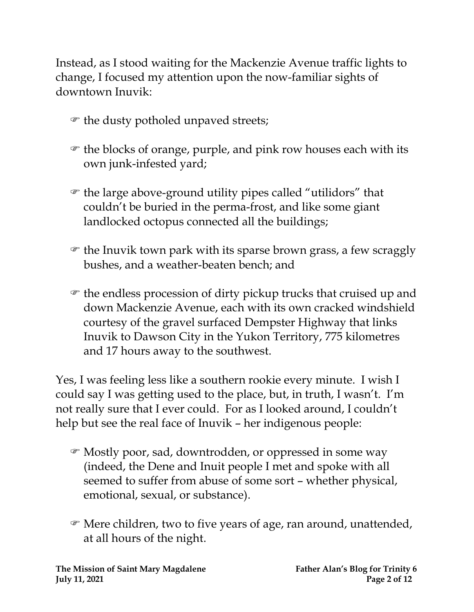Instead, as I stood waiting for the Mackenzie Avenue traffic lights to change, I focused my attention upon the now-familiar sights of downtown Inuvik:

- $\mathcal{F}$  the dusty potholed unpaved streets;
- $\mathcal F$  the blocks of orange, purple, and pink row houses each with its own junk-infested yard;
- the large above-ground utility pipes called "utilidors" that couldn't be buried in the perma-frost, and like some giant landlocked octopus connected all the buildings;
- the Inuvik town park with its sparse brown grass, a few scraggly bushes, and a weather-beaten bench; and
- the endless procession of dirty pickup trucks that cruised up and down Mackenzie Avenue, each with its own cracked windshield courtesy of the gravel surfaced Dempster Highway that links Inuvik to Dawson City in the Yukon Territory, 775 kilometres and 17 hours away to the southwest.

Yes, I was feeling less like a southern rookie every minute. I wish I could say I was getting used to the place, but, in truth, I wasn't. I'm not really sure that I ever could. For as I looked around, I couldn't help but see the real face of Inuvik – her indigenous people:

- Mostly poor, sad, downtrodden, or oppressed in some way (indeed, the Dene and Inuit people I met and spoke with all seemed to suffer from abuse of some sort – whether physical, emotional, sexual, or substance).
- Mere children, two to five years of age, ran around, unattended, at all hours of the night.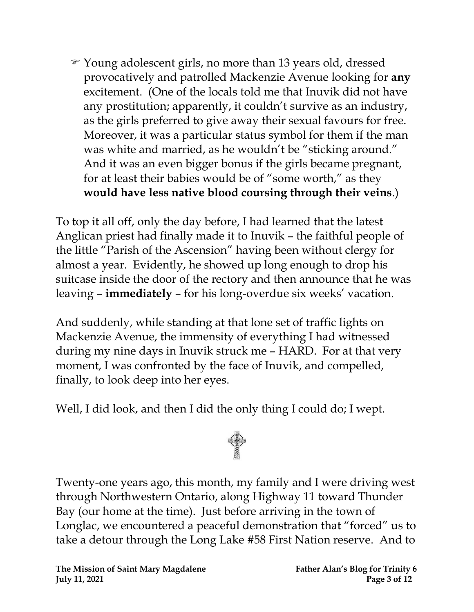Young adolescent girls, no more than 13 years old, dressed provocatively and patrolled Mackenzie Avenue looking for **any** excitement. (One of the locals told me that Inuvik did not have any prostitution; apparently, it couldn't survive as an industry, as the girls preferred to give away their sexual favours for free. Moreover, it was a particular status symbol for them if the man was white and married, as he wouldn't be "sticking around." And it was an even bigger bonus if the girls became pregnant, for at least their babies would be of "some worth," as they **would have less native blood coursing through their veins**.)

To top it all off, only the day before, I had learned that the latest Anglican priest had finally made it to Inuvik – the faithful people of the little "Parish of the Ascension" having been without clergy for almost a year. Evidently, he showed up long enough to drop his suitcase inside the door of the rectory and then announce that he was leaving – **immediately** – for his long-overdue six weeks' vacation.

And suddenly, while standing at that lone set of traffic lights on Mackenzie Avenue, the immensity of everything I had witnessed during my nine days in Inuvik struck me – HARD. For at that very moment, I was confronted by the face of Inuvik, and compelled, finally, to look deep into her eyes.

Well, I did look, and then I did the only thing I could do; I wept.



Twenty-one years ago, this month, my family and I were driving west through Northwestern Ontario, along Highway 11 toward Thunder Bay (our home at the time). Just before arriving in the town of Longlac, we encountered a peaceful demonstration that "forced" us to take a detour through the Long Lake #58 First Nation reserve. And to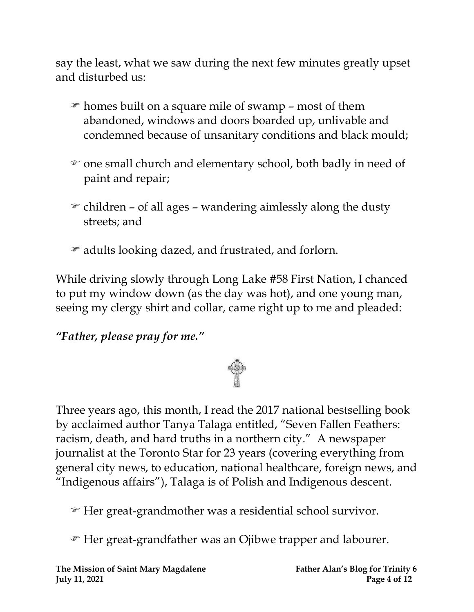say the least, what we saw during the next few minutes greatly upset and disturbed us:

- homes built on a square mile of swamp most of them abandoned, windows and doors boarded up, unlivable and condemned because of unsanitary conditions and black mould;
- one small church and elementary school, both badly in need of paint and repair;
- $\mathcal{F}$  children of all ages wandering aimlessly along the dusty streets; and
- $\bullet$  adults looking dazed, and frustrated, and forlorn.

While driving slowly through Long Lake #58 First Nation, I chanced to put my window down (as the day was hot), and one young man, seeing my clergy shirt and collar, came right up to me and pleaded:

## *"Father, please pray for me."*



Three years ago, this month, I read the 2017 national bestselling book by acclaimed author Tanya Talaga entitled, "Seven Fallen Feathers: racism, death, and hard truths in a northern city." A newspaper journalist at the Toronto Star for 23 years (covering everything from general city news, to education, national healthcare, foreign news, and "Indigenous affairs"), Talaga is of Polish and Indigenous descent.

Her great-grandmother was a residential school survivor.

Her great-grandfather was an Ojibwe trapper and labourer.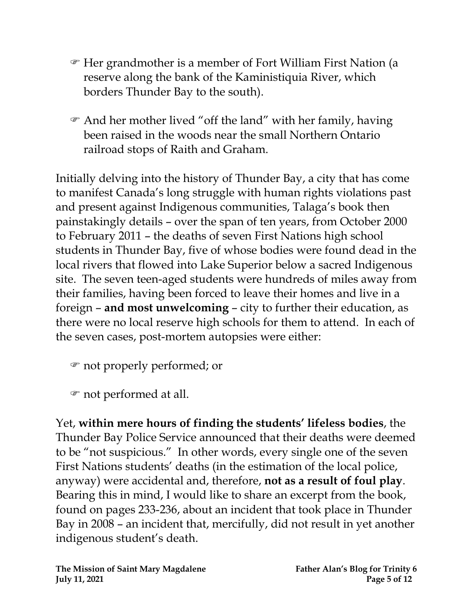- Her grandmother is a member of Fort William First Nation (a reserve along the bank of the Kaministiquia River, which borders Thunder Bay to the south).
- And her mother lived "off the land" with her family, having been raised in the woods near the small Northern Ontario railroad stops of Raith and Graham.

Initially delving into the history of Thunder Bay, a city that has come to manifest Canada's long struggle with human rights violations past and present against Indigenous communities, Talaga's book then painstakingly details – over the span of ten years, from October 2000 to February 2011 – the deaths of seven First Nations high school students in Thunder Bay, five of whose bodies were found dead in the local rivers that flowed into Lake Superior below a sacred Indigenous site. The seven teen-aged students were hundreds of miles away from their families, having been forced to leave their homes and live in a foreign – **and most unwelcoming** – city to further their education, as there were no local reserve high schools for them to attend. In each of the seven cases, post-mortem autopsies were either:

not properly performed; or

not performed at all.

Yet, **within mere hours of finding the students' lifeless bodies**, the Thunder Bay Police Service announced that their deaths were deemed to be "not suspicious." In other words, every single one of the seven First Nations students' deaths (in the estimation of the local police, anyway) were accidental and, therefore, **not as a result of foul play**. Bearing this in mind, I would like to share an excerpt from the book, found on pages 233-236, about an incident that took place in Thunder Bay in 2008 – an incident that, mercifully, did not result in yet another indigenous student's death.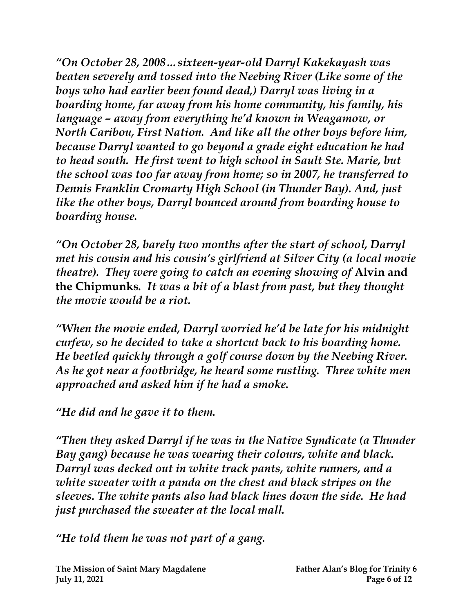*"On October 28, 2008…sixteen-year-old Darryl Kakekayash was beaten severely and tossed into the Neebing River (Like some of the boys who had earlier been found dead,) Darryl was living in a boarding home, far away from his home community, his family, his language – away from everything he'd known in Weagamow, or North Caribou, First Nation. And like all the other boys before him, because Darryl wanted to go beyond a grade eight education he had to head south. He first went to high school in Sault Ste. Marie, but the school was too far away from home; so in 2007, he transferred to Dennis Franklin Cromarty High School (in Thunder Bay). And, just like the other boys, Darryl bounced around from boarding house to boarding house.* 

*"On October 28, barely two months after the start of school, Darryl met his cousin and his cousin's girlfriend at Silver City (a local movie theatre). They were going to catch an evening showing of* **Alvin and the Chipmunks***. It was a bit of a blast from past, but they thought the movie would be a riot.* 

*"When the movie ended, Darryl worried he'd be late for his midnight curfew, so he decided to take a shortcut back to his boarding home. He beetled quickly through a golf course down by the Neebing River. As he got near a footbridge, he heard some rustling. Three white men approached and asked him if he had a smoke.* 

*"He did and he gave it to them.* 

*"Then they asked Darryl if he was in the Native Syndicate (a Thunder Bay gang) because he was wearing their colours, white and black. Darryl was decked out in white track pants, white runners, and a white sweater with a panda on the chest and black stripes on the sleeves. The white pants also had black lines down the side. He had just purchased the sweater at the local mall.*

*"He told them he was not part of a gang.*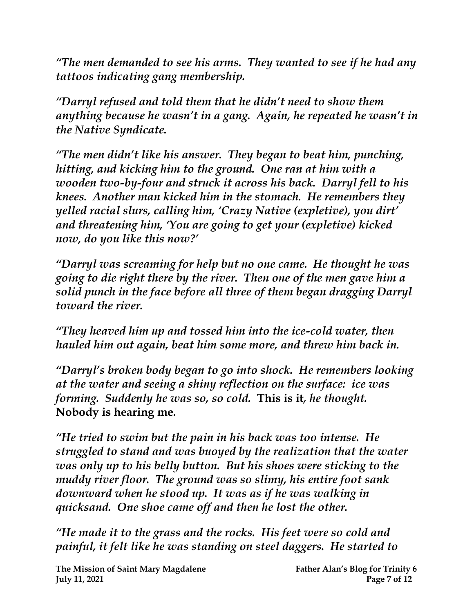*"The men demanded to see his arms. They wanted to see if he had any tattoos indicating gang membership.*

*"Darryl refused and told them that he didn't need to show them anything because he wasn't in a gang. Again, he repeated he wasn't in the Native Syndicate.*

*"The men didn't like his answer. They began to beat him, punching, hitting, and kicking him to the ground. One ran at him with a wooden two-by-four and struck it across his back. Darryl fell to his knees. Another man kicked him in the stomach. He remembers they yelled racial slurs, calling him, 'Crazy Native (expletive), you dirt' and threatening him, 'You are going to get your (expletive) kicked now, do you like this now?'*

*"Darryl was screaming for help but no one came. He thought he was going to die right there by the river. Then one of the men gave him a solid punch in the face before all three of them began dragging Darryl toward the river.* 

*"They heaved him up and tossed him into the ice-cold water, then hauled him out again, beat him some more, and threw him back in.* 

*"Darryl's broken body began to go into shock. He remembers looking at the water and seeing a shiny reflection on the surface: ice was forming. Suddenly he was so, so cold.* **This is it***, he thought.*  **Nobody is hearing me***.* 

*"He tried to swim but the pain in his back was too intense. He struggled to stand and was buoyed by the realization that the water was only up to his belly button. But his shoes were sticking to the muddy river floor. The ground was so slimy, his entire foot sank downward when he stood up. It was as if he was walking in quicksand. One shoe came off and then he lost the other.* 

*"He made it to the grass and the rocks. His feet were so cold and painful, it felt like he was standing on steel daggers. He started to*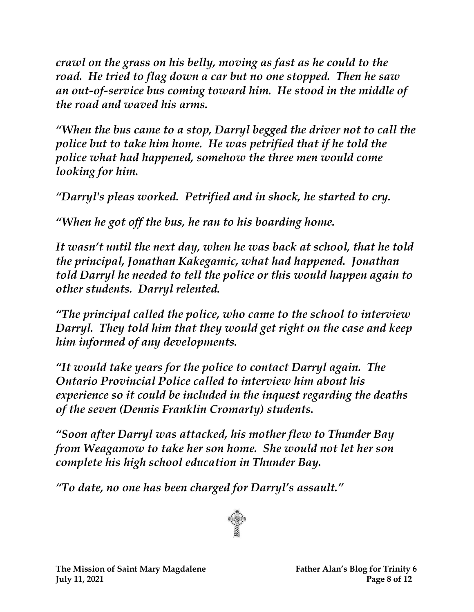*crawl on the grass on his belly, moving as fast as he could to the road. He tried to flag down a car but no one stopped. Then he saw an out-of-service bus coming toward him. He stood in the middle of the road and waved his arms.* 

*"When the bus came to a stop, Darryl begged the driver not to call the police but to take him home. He was petrified that if he told the police what had happened, somehow the three men would come looking for him.* 

*"Darryl's pleas worked. Petrified and in shock, he started to cry.* 

*"When he got off the bus, he ran to his boarding home.* 

*It wasn't until the next day, when he was back at school, that he told the principal, Jonathan Kakegamic, what had happened. Jonathan told Darryl he needed to tell the police or this would happen again to other students. Darryl relented.* 

*"The principal called the police, who came to the school to interview Darryl. They told him that they would get right on the case and keep him informed of any developments.*

*"It would take years for the police to contact Darryl again. The Ontario Provincial Police called to interview him about his experience so it could be included in the inquest regarding the deaths of the seven (Dennis Franklin Cromarty) students.*

*"Soon after Darryl was attacked, his mother flew to Thunder Bay from Weagamow to take her son home. She would not let her son complete his high school education in Thunder Bay.*

*"To date, no one has been charged for Darryl's assault."*

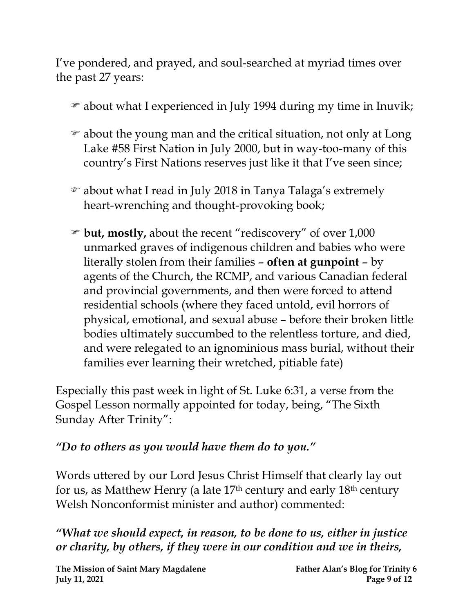I've pondered, and prayed, and soul-searched at myriad times over the past 27 years:

- about what I experienced in July 1994 during my time in Inuvik;
- about the young man and the critical situation, not only at Long Lake #58 First Nation in July 2000, but in way-too-many of this country's First Nations reserves just like it that I've seen since;
- about what I read in July 2018 in Tanya Talaga's extremely heart-wrenching and thought-provoking book;
- **but, mostly,** about the recent "rediscovery" of over 1,000 unmarked graves of indigenous children and babies who were literally stolen from their families – **often at gunpoint** – by agents of the Church, the RCMP, and various Canadian federal and provincial governments, and then were forced to attend residential schools (where they faced untold, evil horrors of physical, emotional, and sexual abuse – before their broken little bodies ultimately succumbed to the relentless torture, and died, and were relegated to an ignominious mass burial, without their families ever learning their wretched, pitiable fate)

Especially this past week in light of St. Luke 6:31, a verse from the Gospel Lesson normally appointed for today, being, "The Sixth Sunday After Trinity":

#### *"Do to others as you would have them do to you."*

Words uttered by our Lord Jesus Christ Himself that clearly lay out for us, as Matthew Henry (a late 17th century and early 18th century Welsh Nonconformist minister and author) commented:

*"What we should expect, in reason, to be done to us, either in justice or charity, by others, if they were in our condition and we in theirs,*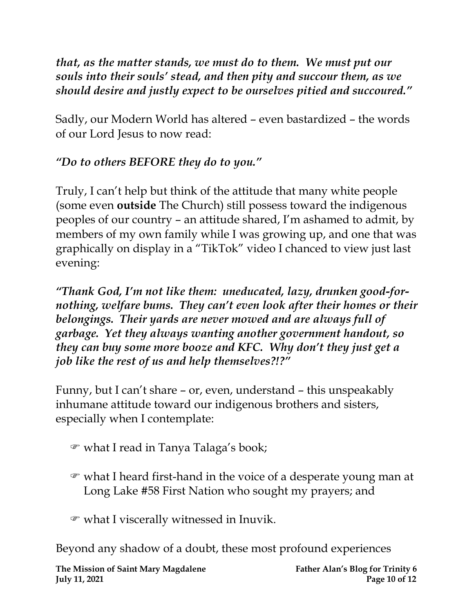*that, as the matter stands, we must do to them. We must put our souls into their souls' stead, and then pity and succour them, as we should desire and justly expect to be ourselves pitied and succoured."*

Sadly, our Modern World has altered – even bastardized – the words of our Lord Jesus to now read:

## *"Do to others BEFORE they do to you."*

Truly, I can't help but think of the attitude that many white people (some even **outside** The Church) still possess toward the indigenous peoples of our country – an attitude shared, I'm ashamed to admit, by members of my own family while I was growing up, and one that was graphically on display in a "TikTok" video I chanced to view just last evening:

*"Thank God, I'm not like them: uneducated, lazy, drunken good-fornothing, welfare bums. They can't even look after their homes or their belongings. Their yards are never mowed and are always full of garbage. Yet they always wanting another government handout, so they can buy some more booze and KFC. Why don't they just get a job like the rest of us and help themselves?!?"*

Funny, but I can't share – or, even, understand – this unspeakably inhumane attitude toward our indigenous brothers and sisters, especially when I contemplate:

- what I read in Tanya Talaga's book;
- what I heard first-hand in the voice of a desperate young man at Long Lake #58 First Nation who sought my prayers; and
- what I viscerally witnessed in Inuvik.

Beyond any shadow of a doubt, these most profound experiences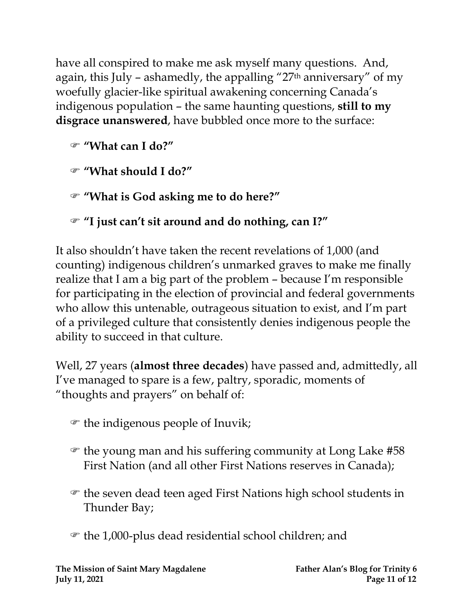have all conspired to make me ask myself many questions. And, again, this July – ashamedly, the appalling "27th anniversary" of my woefully glacier-like spiritual awakening concerning Canada's indigenous population – the same haunting questions, **still to my disgrace unanswered**, have bubbled once more to the surface:

**"What can I do?"** 

**"What should I do?"** 

**"What is God asking me to do here?"** 

**"I just can't sit around and do nothing, can I?"**

It also shouldn't have taken the recent revelations of 1,000 (and counting) indigenous children's unmarked graves to make me finally realize that I am a big part of the problem – because I'm responsible for participating in the election of provincial and federal governments who allow this untenable, outrageous situation to exist, and I'm part of a privileged culture that consistently denies indigenous people the ability to succeed in that culture.

Well, 27 years (**almost three decades**) have passed and, admittedly, all I've managed to spare is a few, paltry, sporadic, moments of "thoughts and prayers" on behalf of:

- $\mathcal{F}$  the indigenous people of Inuvik;
- $\epsilon$  the young man and his suffering community at Long Lake #58 First Nation (and all other First Nations reserves in Canada);
- the seven dead teen aged First Nations high school students in Thunder Bay;
- the 1,000-plus dead residential school children; and